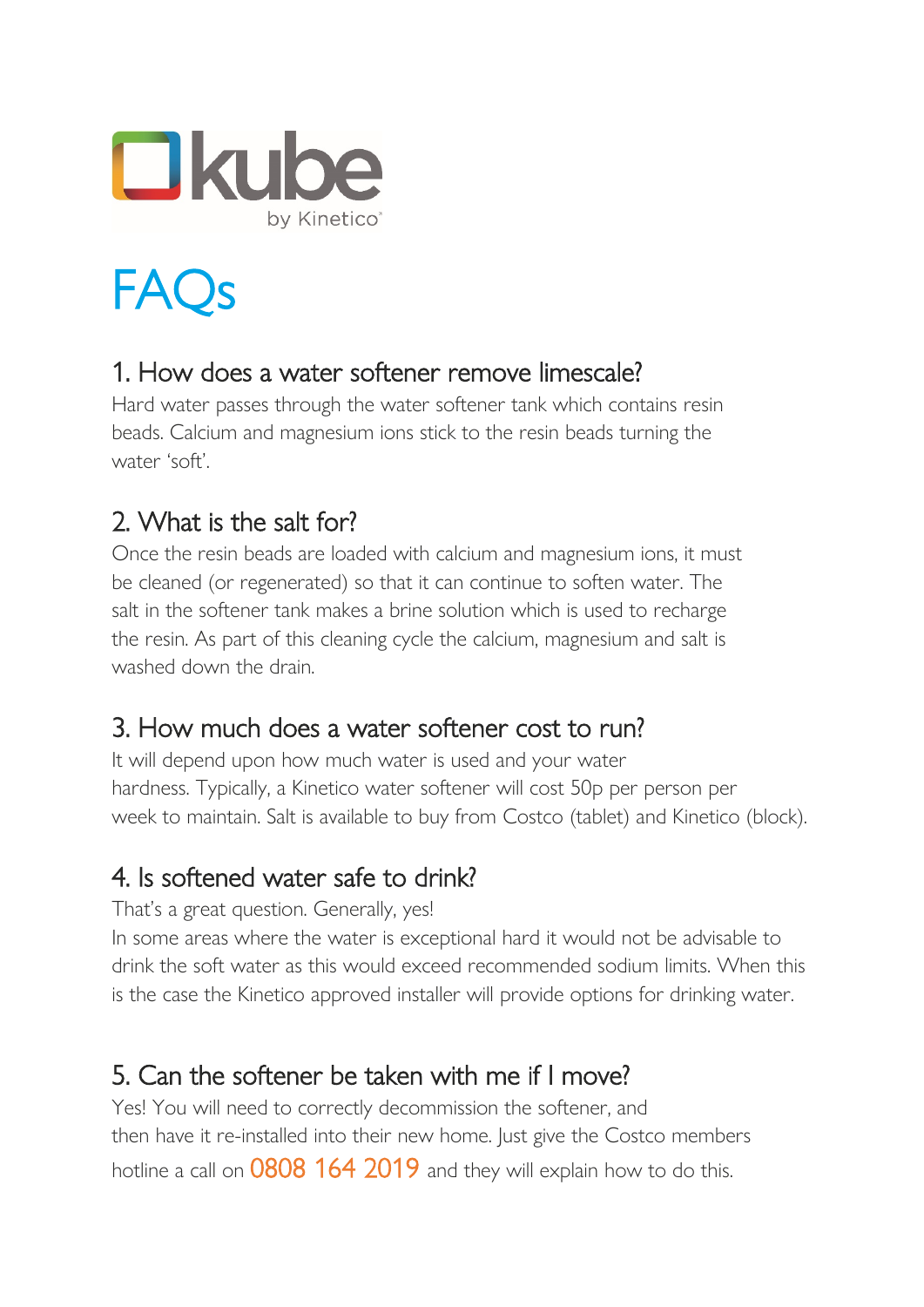

FAQs

#### 1. How does a water softener remove limescale?

Hard water passes through the water softener tank which contains resin beads. Calcium and magnesium ions stick to the resin beads turning the water 'soft'.

#### 2. What is the salt for?

Once the resin beads are loaded with calcium and magnesium ions, it must be cleaned (or regenerated) so that it can continue to soften water. The salt in the softener tank makes a brine solution which is used to recharge the resin. As part of this cleaning cycle the calcium, magnesium and salt is washed down the drain.

#### 3. How much does a water softener cost to run?

It will depend upon how much water is used and your water hardness. Typically, a Kinetico water softener will cost 50p per person per week to maintain. Salt is available to buy from Costco (tablet) and Kinetico (block).

#### 4. Is softened water safe to drink?

That's a great question. Generally, yes!

In some areas where the water is exceptional hard it would not be advisable to drink the soft water as this would exceed recommended sodium limits. When this is the case the Kinetico approved installer will provide options for drinking water.

#### 5. Can the softener be taken with me if I move?

Yes! You will need to correctly decommission the softener, and then have it re-installed into their new home. Just give the Costco members hotline a call on 0808 164 2019 and they will explain how to do this.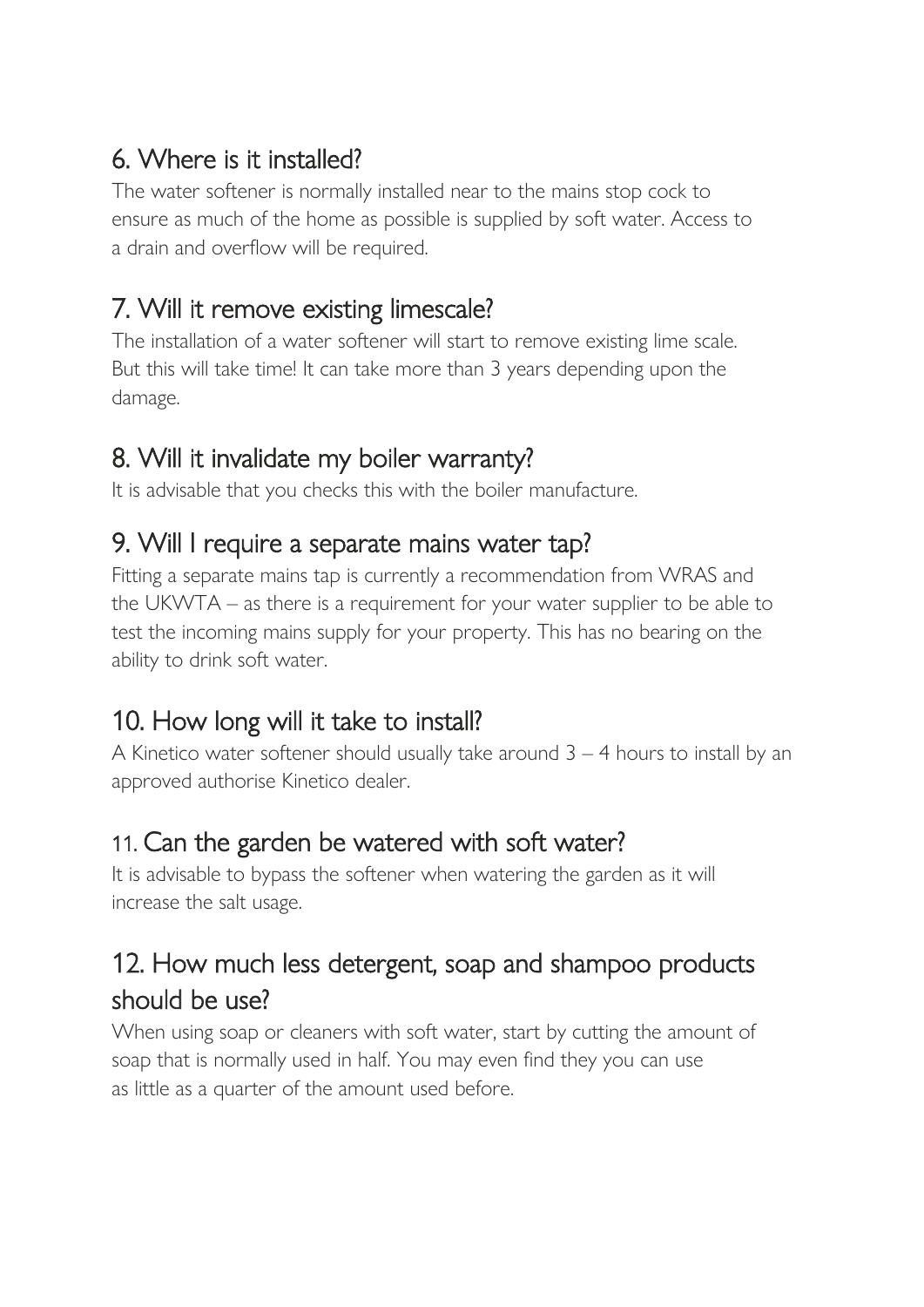## 6. Where is it installed?

The water softener is normally installed near to the mains stop cock to ensure as much of the home as possible is supplied by soft water. Access to a drain and overflow will be required.

## 7. Will it remove existing limescale?

The installation of a water softener will start to remove existing lime scale. But this will take time! It can take more than 3 years depending upon the damage.

# 8. Will it invalidate my boiler warranty?

It is advisable that you checks this with the boiler manufacture.

#### 9. Will I require a separate mains water tap?

Fitting a separate mains tap is currently a recommendation from WRAS and the UKWTA – as there is a requirement for your water supplier to be able to test the incoming mains supply for your property. This has no bearing on the ability to drink soft water.

## 10. How long will it take to install?

A Kinetico water softener should usually take around 3 – 4 hours to install by an approved authorise Kinetico dealer.

#### 11. Can the garden be watered with soft water?

It is advisable to bypass the softener when watering the garden as it will increase the salt usage.

## 12. How much less detergent, soap and shampoo products should be use?

When using soap or cleaners with soft water, start by cutting the amount of soap that is normally used in half. You may even find they you can use as little as a quarter of the amount used before.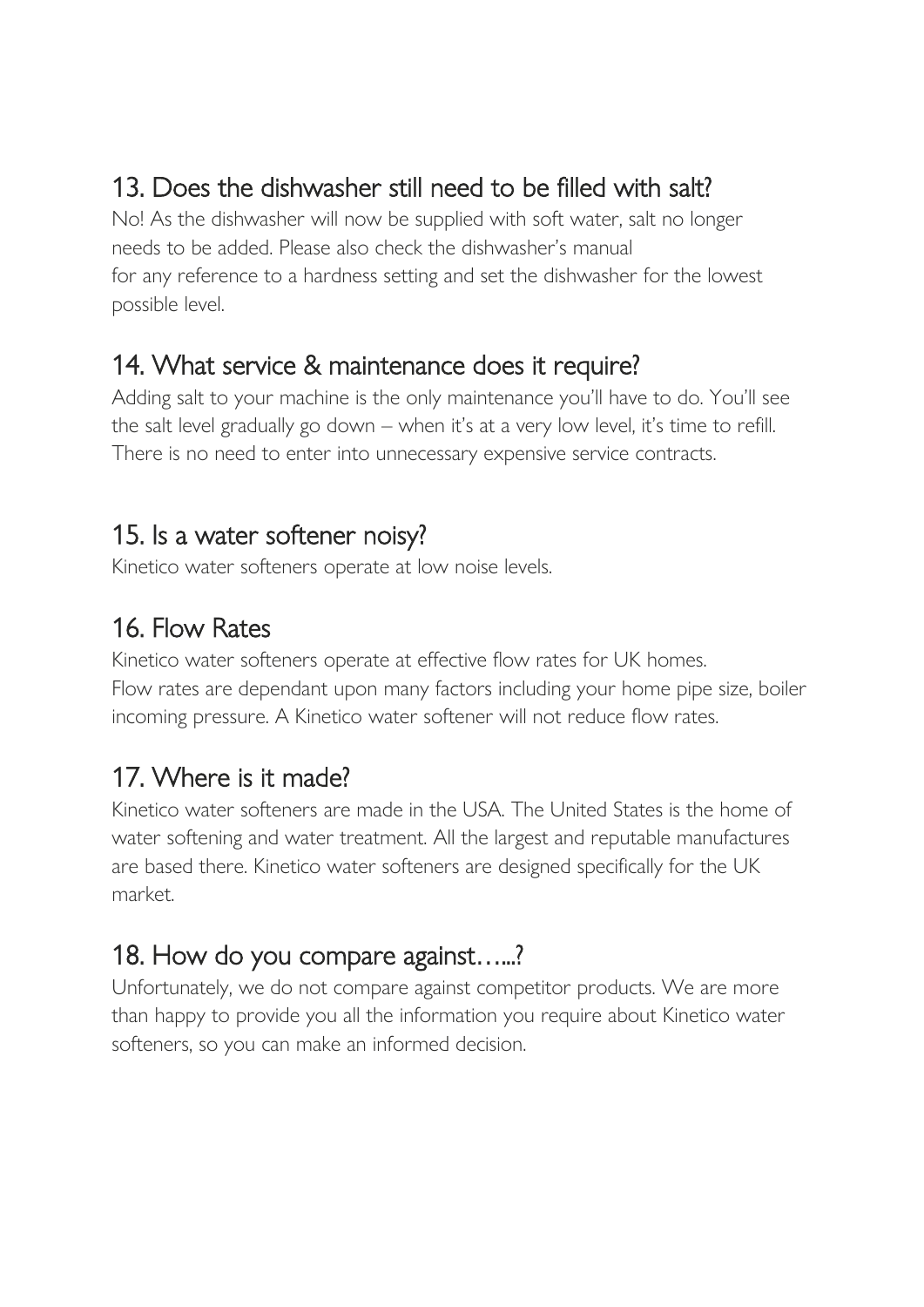## 13. Does the dishwasher still need to be filled with salt?

No! As the dishwasher will now be supplied with soft water, salt no longer needs to be added. Please also check the dishwasher's manual for any reference to a hardness setting and set the dishwasher for the lowest possible level.

#### 14. What service & maintenance does it require?

Adding salt to your machine is the only maintenance you'll have to do. You'll see the salt level gradually go down – when it's at a very low level, it's time to refill. There is no need to enter into unnecessary expensive service contracts.

#### 15. Is a water softener noisy?

Kinetico water softeners operate at low noise levels.

#### 16. Flow Rates

Kinetico water softeners operate at effective flow rates for UK homes. Flow rates are dependant upon many factors including your home pipe size, boiler incoming pressure. A Kinetico water softener will not reduce flow rates.

## 17. Where is it made?

Kinetico water softeners are made in the USA. The United States is the home of water softening and water treatment. All the largest and reputable manufactures are based there. Kinetico water softeners are designed specifically for the UK market.

#### 18. How do you compare against…...?

Unfortunately, we do not compare against competitor products. We are more than happy to provide you all the information you require about Kinetico water softeners, so you can make an informed decision.